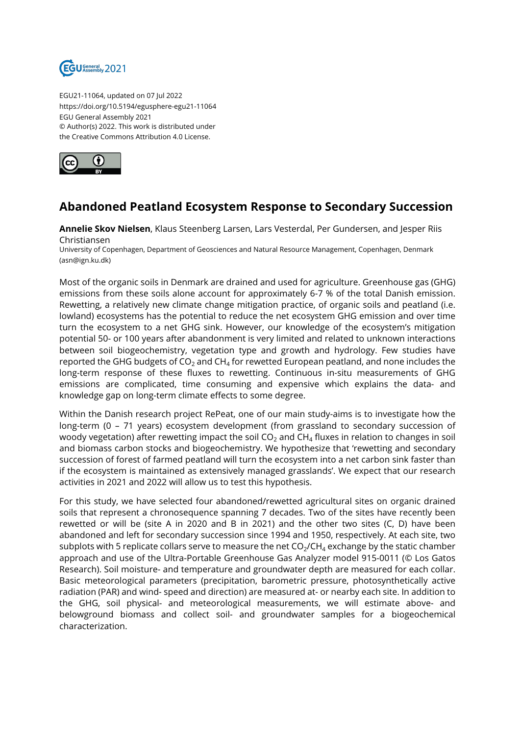

EGU21-11064, updated on 07 Jul 2022 https://doi.org/10.5194/egusphere-egu21-11064 EGU General Assembly 2021 © Author(s) 2022. This work is distributed under the Creative Commons Attribution 4.0 License.



## **Abandoned Peatland Ecosystem Response to Secondary Succession**

**Annelie Skov Nielsen**, Klaus Steenberg Larsen, Lars Vesterdal, Per Gundersen, and Jesper Riis Christiansen

University of Copenhagen, Department of Geosciences and Natural Resource Management, Copenhagen, Denmark (asn@ign.ku.dk)

Most of the organic soils in Denmark are drained and used for agriculture. Greenhouse gas (GHG) emissions from these soils alone account for approximately 6-7 % of the total Danish emission. Rewetting, a relatively new climate change mitigation practice, of organic soils and peatland (i.e. lowland) ecosystems has the potential to reduce the net ecosystem GHG emission and over time turn the ecosystem to a net GHG sink. However, our knowledge of the ecosystem's mitigation potential 50- or 100 years after abandonment is very limited and related to unknown interactions between soil biogeochemistry, vegetation type and growth and hydrology. Few studies have reported the GHG budgets of CO $_2$  and CH $_4$  for rewetted European peatland, and none includes the long-term response of these fluxes to rewetting. Continuous in-situ measurements of GHG emissions are complicated, time consuming and expensive which explains the data- and knowledge gap on long-term climate effects to some degree.

Within the Danish research project RePeat, one of our main study-aims is to investigate how the long-term (0 – 71 years) ecosystem development (from grassland to secondary succession of woody vegetation) after rewetting impact the soil CO $_2$  and CH $_4$  fluxes in relation to changes in soil and biomass carbon stocks and biogeochemistry. We hypothesize that 'rewetting and secondary succession of forest of farmed peatland will turn the ecosystem into a net carbon sink faster than if the ecosystem is maintained as extensively managed grasslands'. We expect that our research activities in 2021 and 2022 will allow us to test this hypothesis.

For this study, we have selected four abandoned/rewetted agricultural sites on organic drained soils that represent a chronosequence spanning 7 decades. Two of the sites have recently been rewetted or will be (site A in 2020 and B in 2021) and the other two sites (C, D) have been abandoned and left for secondary succession since 1994 and 1950, respectively. At each site, two subplots with 5 replicate collars serve to measure the net CO $_2$ /CH $_4$  exchange by the static chamber approach and use of the Ultra-Portable Greenhouse Gas Analyzer model 915-0011 (© Los Gatos Research). Soil moisture- and temperature and groundwater depth are measured for each collar. Basic meteorological parameters (precipitation, barometric pressure, photosynthetically active radiation (PAR) and wind- speed and direction) are measured at- or nearby each site. In addition to the GHG, soil physical- and meteorological measurements, we will estimate above- and belowground biomass and collect soil- and groundwater samples for a biogeochemical characterization.